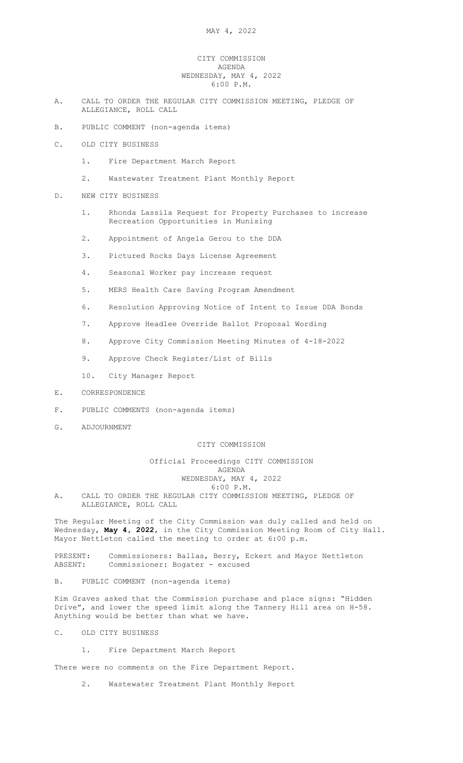## CITY COMMISSION AGENDA WEDNESDAY, MAY 4, 2022 6:00 P.M.

- A. CALL TO ORDER THE REGULAR CITY COMMISSION MEETING, PLEDGE OF ALLEGIANCE, ROLL CALL
- B. PUBLIC COMMENT (non-agenda items)
- C. OLD CITY BUSINESS
	- 1. Fire Department March Report
	- 2. Wastewater Treatment Plant Monthly Report
- D. NEW CITY BUSINESS
	- 1. Rhonda Lassila Request for Property Purchases to increase Recreation Opportunities in Munising
	- 2. Appointment of Angela Gerou to the DDA
	- 3. Pictured Rocks Days License Agreement
	- 4. Seasonal Worker pay increase request
	- 5. MERS Health Care Saving Program Amendment
	- 6. Resolution Approving Notice of Intent to Issue DDA Bonds
	- 7. Approve Headlee Override Ballot Proposal Wording
	- 8. Approve City Commission Meeting Minutes of 4-18-2022
	- 9. Approve Check Register/List of Bills
	- 10. City Manager Report
- E. CORRESPONDENCE
- F. PUBLIC COMMENTS (non-agenda items)
- G. ADJOURNMENT

## CITY COMMISSION

## Official Proceedings CITY COMMISSION AGENDA WEDNESDAY, MAY 4, 2022 6:00 P.M.

A. CALL TO ORDER THE REGULAR CITY COMMISSION MEETING, PLEDGE OF ALLEGIANCE, ROLL CALL

The Regular Meeting of the City Commission was duly called and held on Wednesday**, May 4, 2022,** in the City Commission Meeting Room of City Hall. Mayor Nettleton called the meeting to order at 6:00 p.m.

PRESENT: Commissioners: Ballas, Berry, Eckert and Mayor Nettleton<br>ABSENT: Commissioner: Bogater - excused Commissioner: Bogater - excused

B. PUBLIC COMMENT (non-agenda items)

Kim Graves asked that the Commission purchase and place signs: "Hidden Drive", and lower the speed limit along the Tannery Hill area on H-58. Anything would be better than what we have.

- C. OLD CITY BUSINESS
	- 1. Fire Department March Report

There were no comments on the Fire Department Report.

2. Wastewater Treatment Plant Monthly Report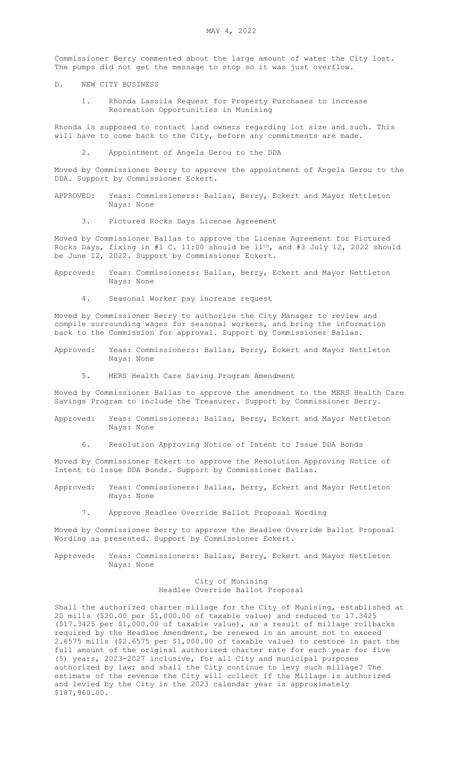Commissioner Berry commented about the large amount of water the City lost. The pumps did not get the message to stop so it was just overflow.

- D. NEW CITY BUSINESS
	- 1. Rhonda Lassila Request for Property Purchases to increase Recreation Opportunities in Munising

Rhonda is supposed to contact land owners regarding lot size and such. This will have to come back to the City, before any commitments are made.

2. Appointment of Angela Gerou to the DDA

Moved by Commissioner Berry to approve the appointment of Angela Gerou to the DDA. Support by Commissioner Eckert.

- APPROVED: Yeas: Commissioners: Ballas, Berry, Eckert and Mayor Nettleton Nays: None
	- 3. Pictured Rocks Days License Agreement

Moved by Commissioner Ballas to approve the License Agreement for Pictured Rocks Days, fixing in #1 C. 11:00 should be 11th, and #3 July 12, 2022 should be June 12, 2022. Support by Commissioner Eckert.

- Approved: Yeas: Commissioners: Ballas, Berry, Eckert and Mayor Nettleton Nays: None
	- 4. Seasonal Worker pay increase request

Moved by Commissioner Berry to authorize the City Manager to review and compile surrounding wages for seasonal workers, and bring the information back to the Commission for approval. Support by Commissioner Ballas.

- Approved: Yeas: Commissioners: Ballas, Berry, Eckert and Mayor Nettleton Nays: None
	- 5. MERS Health Care Saving Program Amendment

Moved by Commissioner Ballas to approve the amendment to the MERS Health Care Savings Program to include the Treasurer. Support by Commissioner Berry.

- Approved: Yeas: Commissioners: Ballas, Berry, Eckert and Mayor Nettleton Nays: None
	- 6. Resolution Approving Notice of Intent to Issue DDA Bonds

Moved by Commissioner Eckert to approve the Resolution Approving Notice of Intent to Issue DDA Bonds. Support by Commissioner Ballas.

- Approved: Yeas: Commissioners: Ballas, Berry, Eckert and Mayor Nettleton Nays: None
	- 7. Approve Headlee Override Ballot Proposal Wording

Moved by Commissioner Berry to approve the Headlee Override Ballot Proposal Wording as presented. Support by Commissioner Eckert.

Approved: Yeas: Commissioners: Ballas, Berry, Eckert and Mayor Nettleton Nays: None

> City of Munising Headlee Override Ballot Proposal

Shall the authorized charter millage for the City of Munising, established at 20 mills (\$20.00 per \$1,000.00 of taxable value) and reduced to 17.3425 (\$17.3425 per \$1,000.00 of taxable value), as a result of millage rollbacks required by the Headlee Amendment, be renewed in an amount not to exceed 2.6575 mills (\$2.6575 per \$1,000.00 of taxable value) to restore in part the full amount of the original authorized charter rate for each year for five (5) years, 2023-2027 inclusive, for all City and municipal purposes authorized by law; and shall the City continue to levy such millage? The estimate of the revenue the City will collect if the Millage is authorized and levied by the City in the 2023 calendar year is approximately \$187,960.00.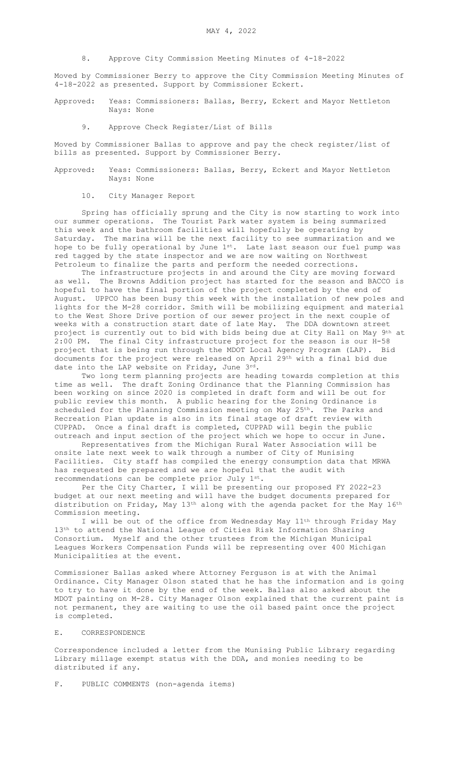8. Approve City Commission Meeting Minutes of 4-18-2022

Moved by Commissioner Berry to approve the City Commission Meeting Minutes of 4-18-2022 as presented. Support by Commissioner Eckert.

- Approved: Yeas: Commissioners: Ballas, Berry, Eckert and Mayor Nettleton Nays: None
	- 9. Approve Check Register/List of Bills

Moved by Commissioner Ballas to approve and pay the check register/list of bills as presented. Support by Commissioner Berry.

- Approved: Yeas: Commissioners: Ballas, Berry, Eckert and Mayor Nettleton Nays: None
	- 10. City Manager Report

Spring has officially sprung and the City is now starting to work into our summer operations. The Tourist Park water system is being summarized this week and the bathroom facilities will hopefully be operating by Saturday. The marina will be the next facility to see summarization and we hope to be fully operational by June 1st. Late last season our fuel pump was red tagged by the state inspector and we are now waiting on Northwest Petroleum to finalize the parts and perform the needed corrections.

The infrastructure projects in and around the City are moving forward as well. The Browns Addition project has started for the season and BACCO is hopeful to have the final portion of the project completed by the end of August. UPPCO has been busy this week with the installation of new poles and lights for the M-28 corridor. Smith will be mobilizing equipment and material to the West Shore Drive portion of our sewer project in the next couple of weeks with a construction start date of late May. The DDA downtown street project is currently out to bid with bids being due at City Hall on May 9th at 2:00 PM. The final City infrastructure project for the season is our H-58 project that is being run through the MDOT Local Agency Program (LAP). Bid documents for the project were released on April 29th with a final bid due date into the LAP website on Friday, June 3rd.

Two long term planning projects are heading towards completion at this time as well. The draft Zoning Ordinance that the Planning Commission has been working on since 2020 is completed in draft form and will be out for public review this month. A public hearing for the Zoning Ordinance is scheduled for the Planning Commission meeting on May 25<sup>th</sup>. The Parks and Recreation Plan update is also in its final stage of draft review with CUPPAD. Once a final draft is completed, CUPPAD will begin the public outreach and input section of the project which we hope to occur in June.

Representatives from the Michigan Rural Water Association will be onsite late next week to walk through a number of City of Munising Facilities. City staff has compiled the energy consumption data that MRWA has requested be prepared and we are hopeful that the audit with recommendations can be complete prior July 1st.

Per the City Charter, I will be presenting our proposed FY 2022-23 budget at our next meeting and will have the budget documents prepared for distribution on Friday, May 13th along with the agenda packet for the May 16th Commission meeting.

I will be out of the office from Wednesday May 11th through Friday May  $13<sup>th</sup>$  to attend the National League of Cities Risk Information Sharing Consortium. Myself and the other trustees from the Michigan Municipal Leagues Workers Compensation Funds will be representing over 400 Michigan Municipalities at the event.

Commissioner Ballas asked where Attorney Ferguson is at with the Animal Ordinance. City Manager Olson stated that he has the information and is going to try to have it done by the end of the week. Ballas also asked about the MDOT painting on M-28. City Manager Olson explained that the current paint is not permanent, they are waiting to use the oil based paint once the project is completed.

## E. CORRESPONDENCE

Correspondence included a letter from the Munising Public Library regarding Library millage exempt status with the DDA, and monies needing to be distributed if any.

F. PUBLIC COMMENTS (non-agenda items)